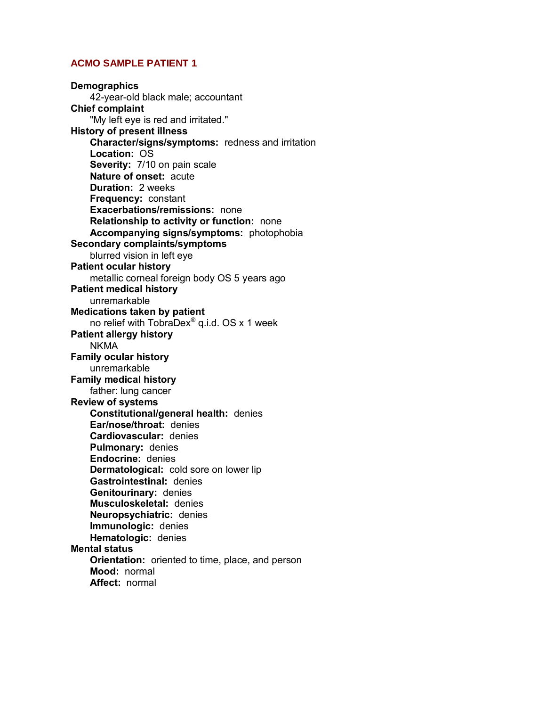**Demographics** 42-year-old black male; accountant **Chief complaint** "My left eye is red and irritated." **History of present illness Character/signs/symptoms:** redness and irritation **Location:** OS **Severity:** 7/10 on pain scale **Nature of onset:** acute **Duration:** 2 weeks **Frequency:** constant **Exacerbations/remissions:** none **Relationship to activity or function:** none **Accompanying signs/symptoms:** photophobia **Secondary complaints/symptoms**  blurred vision in left eye **Patient ocular history** metallic corneal foreign body OS 5 years ago **Patient medical history** unremarkable **Medications taken by patient** no relief with TobraDex<sup>®</sup> q.i.d. OS x 1 week **Patient allergy history** NKMA **Family ocular history** unremarkable **Family medical history** father: lung cancer **Review of systems Constitutional/general health:** denies **Ear/nose/throat:** denies **Cardiovascular:** denies **Pulmonary:** denies **Endocrine:** denies **Dermatological:** cold sore on lower lip **Gastrointestinal:** denies **Genitourinary:** denies **Musculoskeletal:** denies **Neuropsychiatric:** denies **Immunologic:** denies **Hematologic:** denies **Mental status Orientation:** oriented to time, place, and person **Mood:** normal **Affect:** normal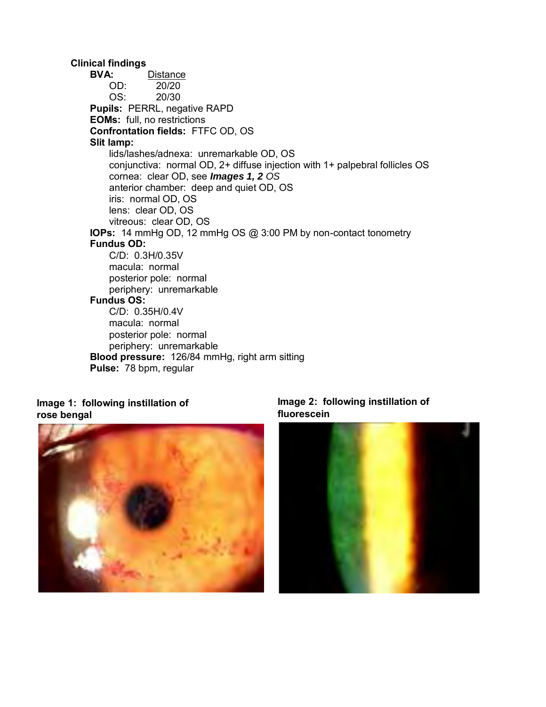**Clinical findings R:** Distance<br>
OD: 20/20  $20/20$  OS: 20/30  **Pupils:** PERRL, negative RAPD **EOMs:** full, no restrictions **Confrontation fields:** FTFC OD, OS **Slit lamp:** lids/lashes/adnexa: unremarkable OD, OS conjunctiva: normal OD, 2+ diffuse injection with 1+ palpebral follicles OS cornea: clear OD, see *Images 1, 2 OS* anterior chamber: deep and quiet OD, OS iris: normal OD, OS lens: clear OD, OS vitreous: clear OD, OS  **IOPs:** 14 mmHg OD, 12 mmHg OS @ 3:00 PM by non-contact tonometry **Fundus OD:**  C/D: 0.3H/0.35V macula: normal posterior pole: normal periphery: unremarkable **Fundus OS:** C/D: 0.35H/0.4V macula: normal posterior pole: normal periphery: unremarkable  **Blood pressure:** 126/84 mmHg, right arm sitting **Pulse:** 78 bpm, regular

# **Image 1: following instillation of rose bengal**



# **Image 2: following instillation of fluorescein**

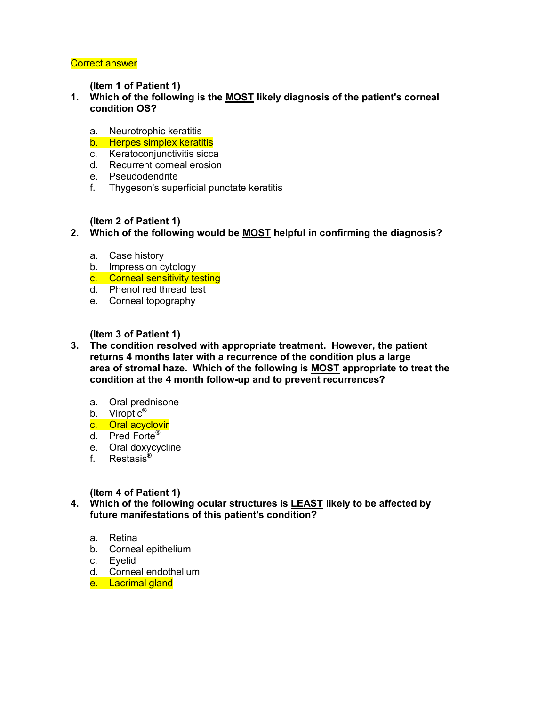**(Item 1 of Patient 1)** 

- **1. Which of the following is the MOST likely diagnosis of the patient's corneal condition OS?** 
	- a. Neurotrophic keratitis
	- b. Herpes simplex keratitis
	- c. Keratoconjunctivitis sicca
	- d. Recurrent corneal erosion
	- e. Pseudodendrite
	- f. Thygeson's superficial punctate keratitis

#### **(Item 2 of Patient 1)**

- **2. Which of the following would be MOST helpful in confirming the diagnosis?** 
	- a. Case history
	- b. Impression cytology
	- c. Corneal sensitivity testing
	- d. Phenol red thread test
	- e. Corneal topography

# **(Item 3 of Patient 1)**

- **3. The condition resolved with appropriate treatment. However, the patient returns 4 months later with a recurrence of the condition plus a large area of stromal haze. Which of the following is MOST appropriate to treat the condition at the 4 month follow-up and to prevent recurrences?** 
	- a. Oral prednisone
	- b. Viroptic<sup>®</sup>
	- c. Oral acyclovir
	- d. Pred Forte®
	- e. Oral doxycycline
	- f. Restasis®

#### **(Item 4 of Patient 1)**

**4. Which of the following ocular structures is LEAST likely to be affected by future manifestations of this patient's condition?** 

- a. Retina
- b. Corneal epithelium
- c. Eyelid
- d. Corneal endothelium
- e. Lacrimal gland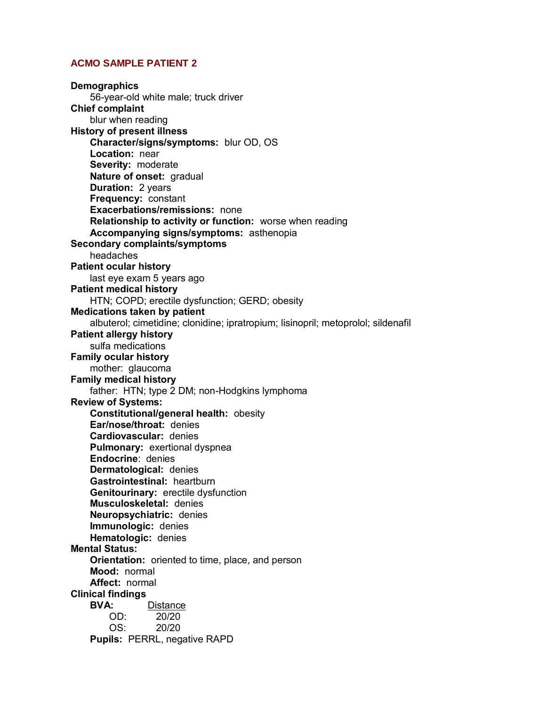**Demographics** 56-year-old white male; truck driver **Chief complaint** blur when reading **History of present illness Character/signs/symptoms:** blur OD, OS  **Location:** near  **Severity:** moderate  **Nature of onset:** gradual  **Duration:** 2 years  **Frequency:** constant  **Exacerbations/remissions:** none  **Relationship to activity or function:** worse when reading  **Accompanying signs/symptoms:** asthenopia **Secondary complaints/symptoms** headaches **Patient ocular history** last eye exam 5 years ago **Patient medical history** HTN; COPD; erectile dysfunction; GERD; obesity **Medications taken by patient** albuterol; cimetidine; clonidine; ipratropium; lisinopril; metoprolol; sildenafil **Patient allergy history** sulfa medications **Family ocular history** mother: glaucoma **Family medical history** father: HTN; type 2 DM; non-Hodgkins lymphoma **Review of Systems: Constitutional/general health:** obesity  **Ear/nose/throat:** denies  **Cardiovascular:** denies  **Pulmonary:** exertional dyspnea **Endocrine**: denies  **Dermatological:** denies  **Gastrointestinal:** heartburn  **Genitourinary:** erectile dysfunction  **Musculoskeletal:** denies  **Neuropsychiatric:** denies **Immunologic:** denies **Hematologic:** denies **Mental Status: Orientation:** oriented to time, place, and person  **Mood:** normal  **Affect:** normal **Clinical findings Distance**  OD: 20/20 OS: 20/20  **Pupils:** PERRL, negative RAPD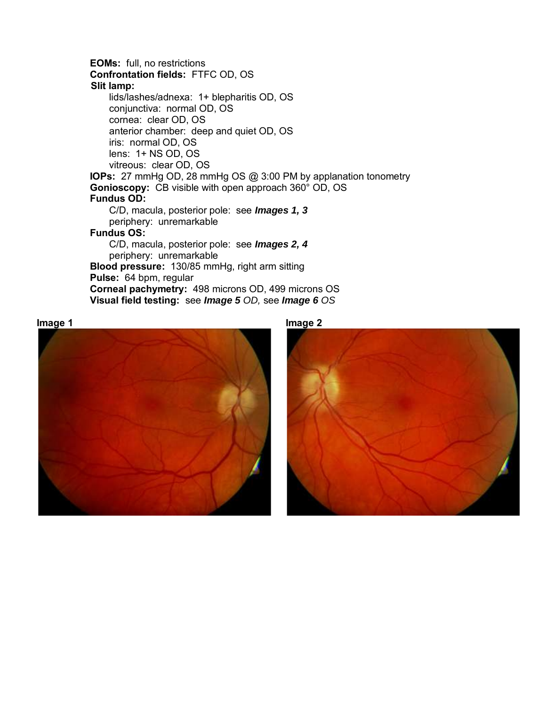**EOMs:** full, no restrictions  **Confrontation fields:** FTFC OD, OS **Slit lamp:** lids/lashes/adnexa: 1+ blepharitis OD, OS conjunctiva: normal OD, OS cornea: clear OD, OS anterior chamber: deep and quiet OD, OS iris: normal OD, OS lens: 1+ NS OD, OS vitreous: clear OD, OS  **IOPs:** 27 mmHg OD, 28 mmHg OS @ 3:00 PM by applanation tonometry  **Gonioscopy:** CB visible with open approach 360° OD, OS  **Fundus OD:** C/D, macula, posterior pole: see *Images 1, 3* periphery: unremarkable  **Fundus OS:** C/D, macula, posterior pole: see *Images 2, 4* periphery: unremarkable  **Blood pressure:** 130/85 mmHg, right arm sitting  **Pulse:** 64 bpm, regular  **Corneal pachymetry:** 498 microns OD, 499 microns OS  **Visual field testing:** see *Image 5 OD,* see *Image 6 OS*





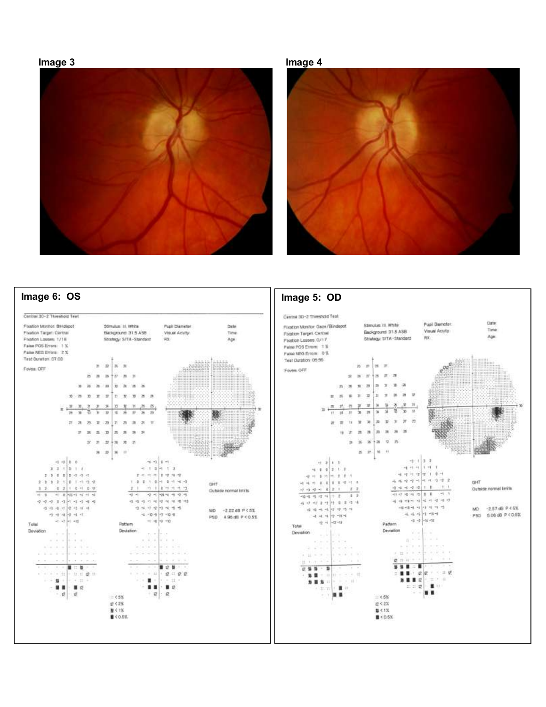#### **Image 3 Image 4**





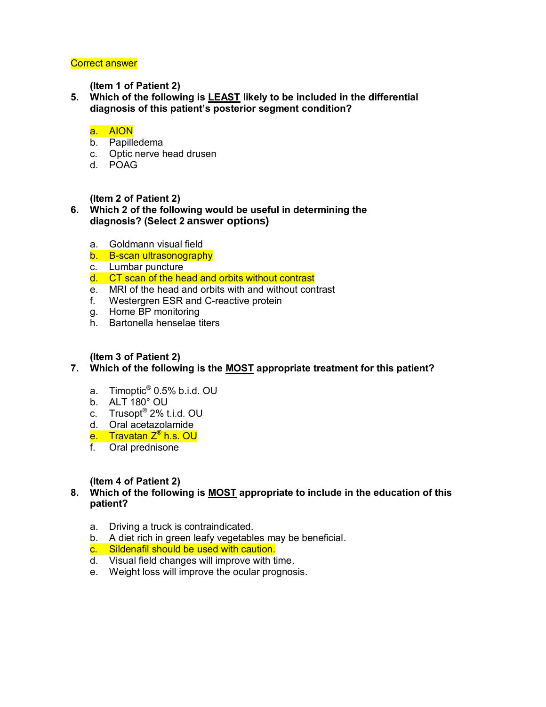**(Item 1 of Patient 2)** 

**5. Which of the following is LEAST likely to be included in the differential diagnosis of this patient's posterior segment condition?** 

# a. AION

- b. Papilledema
- c. Optic nerve head drusen
- d. POAG

#### **(Item 2 of Patient 2)**

# **6. Which 2 of the following would be useful in determining the diagnosis? (Select 2 answer options)**

- a. Goldmann visual field
- b. B-scan ultrasonography
- c. Lumbar puncture
- d. CT scan of the head and orbits without contrast
- e. MRI of the head and orbits with and without contrast
- f. Westergren ESR and C-reactive protein
- g. Home BP monitoring
- h. Bartonella henselae titers

# **(Item 3 of Patient 2)**

- **7. Which of the following is the MOST appropriate treatment for this patient?** 
	- a. Timoptic® 0.5% b.i.d. OU
	- b. ALT 180° OU
- c. Trusopt® 2% t.i.d. OU
	- d. Oral acetazolamide
	- e. Travatan Z® h.s. OU
	- f. Oral prednisone

#### **(Item 4 of Patient 2)**

#### **8. Which of the following is MOST appropriate to include in the education of this patient?**

- a. Driving a truck is contraindicated.
- b. A diet rich in green leafy vegetables may be beneficial.
- c. Sildenafil should be used with caution.
- d. Visual field changes will improve with time.
- e. Weight loss will improve the ocular prognosis.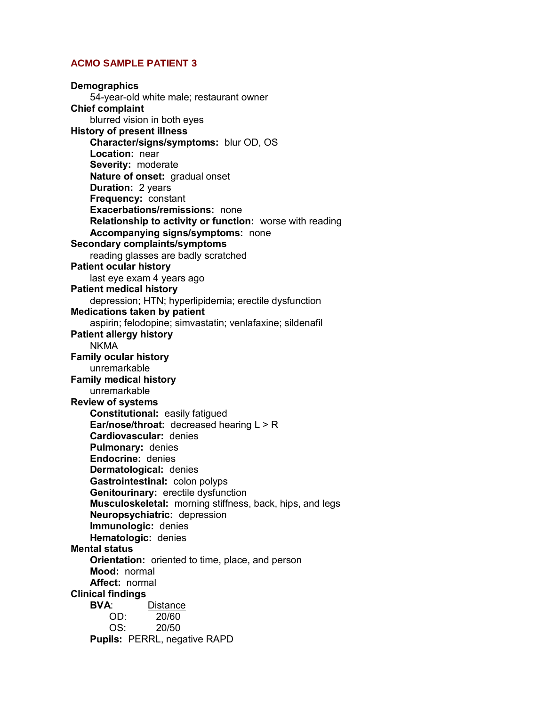**Demographics** 54-year-old white male; restaurant owner **Chief complaint** blurred vision in both eyes **History of present illness Character/signs/symptoms:** blur OD, OS  **Location:** near  **Severity:** moderate  **Nature of onset:** gradual onset  **Duration:** 2 years  **Frequency:** constant  **Exacerbations/remissions:** none  **Relationship to activity or function:** worse with reading  **Accompanying signs/symptoms:** none **Secondary complaints/symptoms** reading glasses are badly scratched **Patient ocular history** last eye exam 4 years ago **Patient medical history** depression; HTN; hyperlipidemia; erectile dysfunction **Medications taken by patient** aspirin; felodopine; simvastatin; venlafaxine; sildenafil **Patient allergy history** NKMA **Family ocular history** unremarkable **Family medical history** unremarkable **Review of systems Constitutional:** easily fatigued  **Ear/nose/throat:** decreased hearing L > R  **Cardiovascular:** denies  **Pulmonary:** denies **Endocrine:** denies  **Dermatological:** denies  **Gastrointestinal:** colon polyps  **Genitourinary:** erectile dysfunction  **Musculoskeletal:** morning stiffness, back, hips, and legs  **Neuropsychiatric:** depression **Immunologic:** denies **Hematologic:** denies **Mental status Orientation:** oriented to time, place, and person  **Mood:** normal  **Affect:** normal **Clinical findings Distance**  OD: 20/60 OS: 20/50  **Pupils:** PERRL, negative RAPD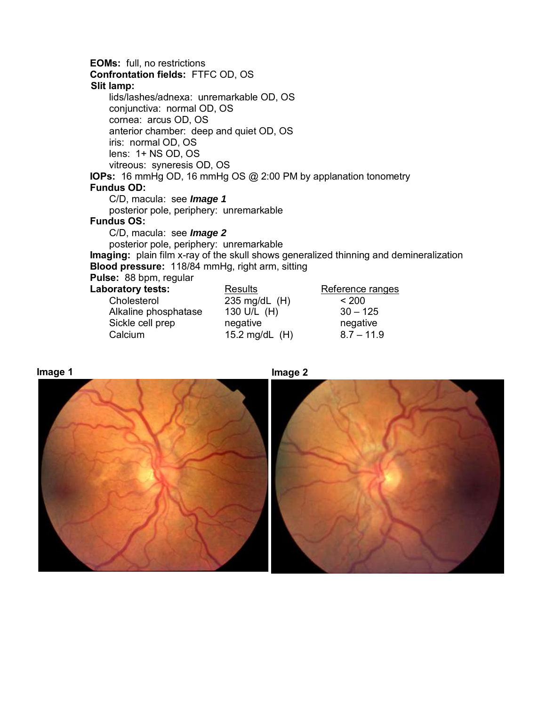**EOMs:** full, no restrictions  **Confrontation fields:** FTFC OD, OS  **Slit lamp:** lids/lashes/adnexa: unremarkable OD, OS conjunctiva: normal OD, OS cornea: arcus OD, OS anterior chamber: deep and quiet OD, OS iris: normal OD, OS lens: 1+ NS OD, OS vitreous: syneresis OD, OS  **IOPs:** 16 mmHg OD, 16 mmHg OS @ 2:00 PM by applanation tonometry  **Fundus OD:** C/D, macula: see *Image 1* posterior pole, periphery: unremarkable  **Fundus OS:** C/D, macula: see *Image 2* posterior pole, periphery: unremarkable  **Imaging:** plain film x-ray of the skull shows generalized thinning and demineralization  **Blood pressure:** 118/84 mmHg, right arm, sitting  **Pulse:** 88 bpm, regular Laboratory tests: **Results** Reference ranges<br>Cholesterol 235 ma/dL (H) < 200 Cholesterol 235 mg/dL (H) Alkaline phosphatase 130 U/L (H) 30 – 125 Sickle cell prep negative negative negative



Calcium 15.2 mg/dL (H) 8.7 – 11.9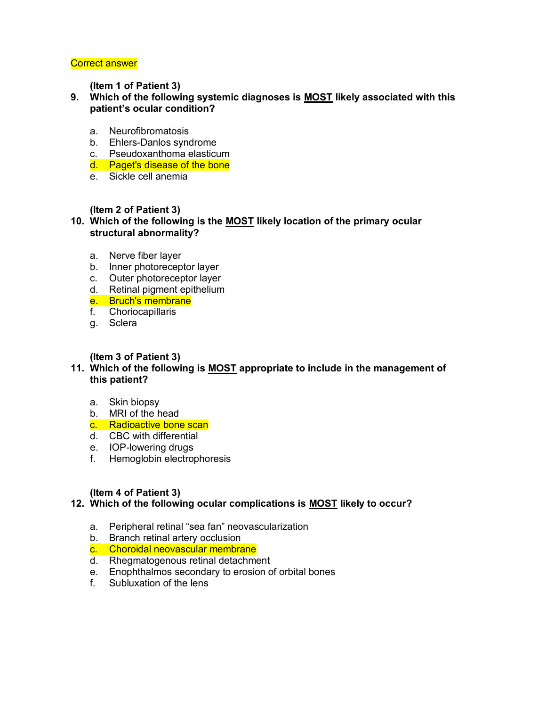#### **(Item 1 of Patient 3)**

- **9. Which of the following systemic diagnoses is MOST likely associated with this patient's ocular condition?** 
	- a. Neurofibromatosis
	- b. Ehlers-Danlos syndrome
	- c. Pseudoxanthoma elasticum
	- d. Paget's disease of the bone
	- e. Sickle cell anemia

# **(Item 2 of Patient 3)**

#### **10. Which of the following is the MOST likely location of the primary ocular structural abnormality?**

- a. Nerve fiber layer
- b. Inner photoreceptor layer
- c. Outer photoreceptor layer
- d. Retinal pigment epithelium
- e. Bruch's membrane
- f. Choriocapillaris
- g. Sclera

# **(Item 3 of Patient 3)**

# **11. Which of the following is MOST appropriate to include in the management of this patient?**

- a. Skin biopsy
- b. MRI of the head
- c. Radioactive bone scan
- d. CBC with differential
- e. IOP-lowering drugs
- f. Hemoglobin electrophoresis

#### **(Item 4 of Patient 3)**

# **12. Which of the following ocular complications is MOST likely to occur?**

- a. Peripheral retinal "sea fan" neovascularization
- b. Branch retinal artery occlusion
- c. Choroidal neovascular membrane
- d. Rhegmatogenous retinal detachment
- e. Enophthalmos secondary to erosion of orbital bones
- f. Subluxation of the lens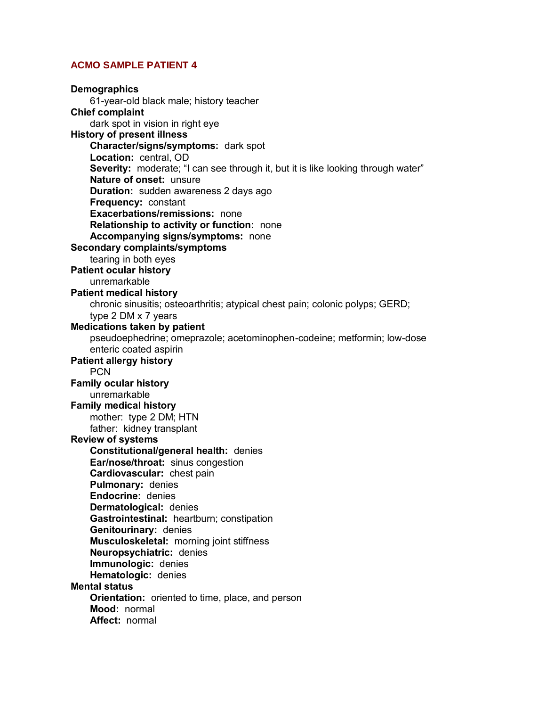**Demographics**  61-year-old black male; history teacher **Chief complaint**  dark spot in vision in right eye **History of present illness Character/signs/symptoms:** dark spot **Location:** central, OD **Severity:** moderate; "I can see through it, but it is like looking through water" **Nature of onset:** unsure  **Duration:** sudden awareness 2 days ago **Frequency:** constant **Exacerbations/remissions:** none **Relationship to activity or function:** none **Accompanying signs/symptoms:** none **Secondary complaints/symptoms**  tearing in both eyes **Patient ocular history**  unremarkable **Patient medical history**  chronic sinusitis; osteoarthritis; atypical chest pain; colonic polyps; GERD; type 2 DM x 7 years **Medications taken by patient**  pseudoephedrine; omeprazole; acetominophen-codeine; metformin; low-dose enteric coated aspirin **Patient allergy history PCN Family ocular history**  unremarkable **Family medical history**  mother: type 2 DM; HTN father: kidney transplant **Review of systems Constitutional/general health:** denies **Ear/nose/throat:** sinus congestion **Cardiovascular:** chest pain **Pulmonary:** denies **Endocrine:** denies **Dermatological:** denies **Gastrointestinal:** heartburn; constipation **Genitourinary:** denies **Musculoskeletal:** morning joint stiffness **Neuropsychiatric:** denies **Immunologic:** denies **Hematologic:** denies **Mental status Orientation:** oriented to time, place, and person **Mood:** normal **Affect:** normal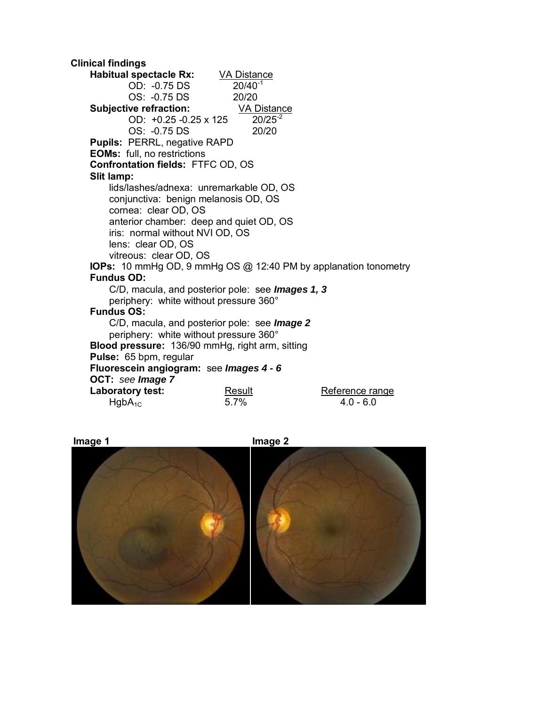**Clinical findings Habitual spectacle Rx:** VA Distance<br>OD: -0.75 DS 20/40<sup>-1</sup> OD: -0.75 DS 20/40<sup>-</sup><br>OS: -0.75 DS 20/20 OS: -0.75 DS 20/20<br> **Example:** 20/20<br>
<u>
VA Distance</u> **Subjective refraction:** VA Distand<br>OD: +0.25 -0.25 x 125 20/25<sup>-2</sup> OD:  $+0.25 -0.25 \times 125$  OS: -0.75 DS 20/20 **Pupils:** PERRL, negative RAPD **EOMs:** full, no restrictions **Confrontation fields:** FTFC OD, OS **Slit lamp:**  lids/lashes/adnexa: unremarkable OD, OS conjunctiva: benign melanosis OD, OS cornea: clear OD, OS anterior chamber: deep and quiet OD, OS iris: normal without NVI OD, OS lens: clear OD, OS vitreous: clear OD, OS **IOPs:** 10 mmHg OD, 9 mmHg OS @ 12:40 PM by applanation tonometry **Fundus OD:**  C/D, macula, and posterior pole: see *Images 1, 3*  periphery: white without pressure 360° **Fundus OS:**  C/D, macula, and posterior pole: see *Image 2* periphery: white without pressure 360° **Blood pressure:** 136/90 mmHg, right arm, sitting **Pulse:** 65 bpm, regular **Fluorescein angiogram:** see *Images 4 - 6*  **OCT:** *see Image 7*  Laboratory test: **Result** Result Reference range<br>
HgbA<sub>1C</sub> 8.0 - 6.0 and 5.7%  $Hg b A_{1C}$  5.7%



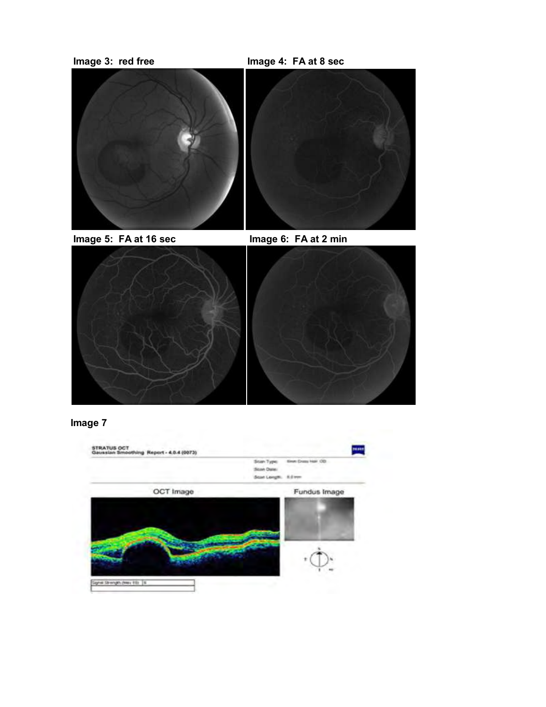

**Image 5: FA at 16 sec Image 6: FA at 2 min** 



# **Image 7**

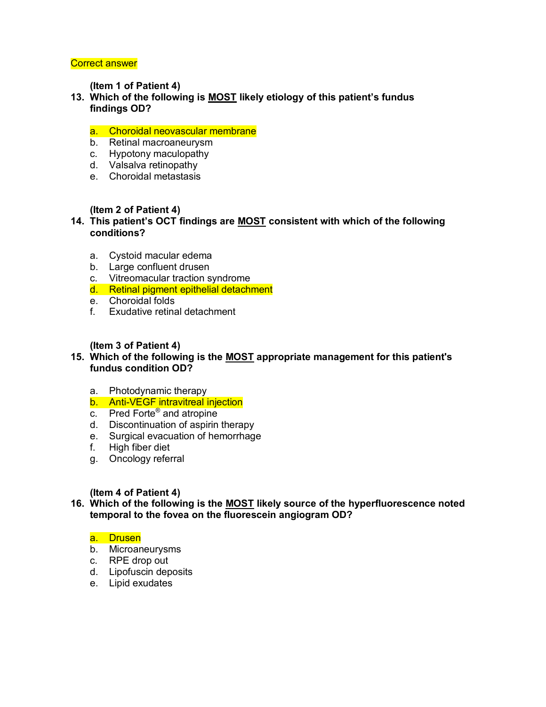**(Item 1 of Patient 4)** 

**13. Which of the following is MOST likely etiology of this patient's fundus findings OD?** 

#### a. Choroidal neovascular membrane

- b. Retinal macroaneurysm
- c. Hypotony maculopathy
- d. Valsalva retinopathy
- e. Choroidal metastasis

#### **(Item 2 of Patient 4)**

- **14. This patient's OCT findings are MOST consistent with which of the following conditions?** 
	- a. Cystoid macular edema
	- b. Large confluent drusen
	- c. Vitreomacular traction syndrome
	- d. Retinal pigment epithelial detachment
	- e. Choroidal folds
	- f. Exudative retinal detachment

#### **(Item 3 of Patient 4)**

- **15. Which of the following is the MOST appropriate management for this patient's fundus condition OD?** 
	- a. Photodynamic therapy
	- b. Anti-VEGF intravitreal injection
- c. Pred Forte® and atropine
	- d. Discontinuation of aspirin therapy
	- e. Surgical evacuation of hemorrhage
	- f. High fiber diet
	- g. Oncology referral

#### **(Item 4 of Patient 4)**

**16. Which of the following is the MOST likely source of the hyperfluorescence noted temporal to the fovea on the fluorescein angiogram OD?** 

#### a. Drusen

- b. Microaneurysms
- c. RPE drop out
- d. Lipofuscin deposits
- e. Lipid exudates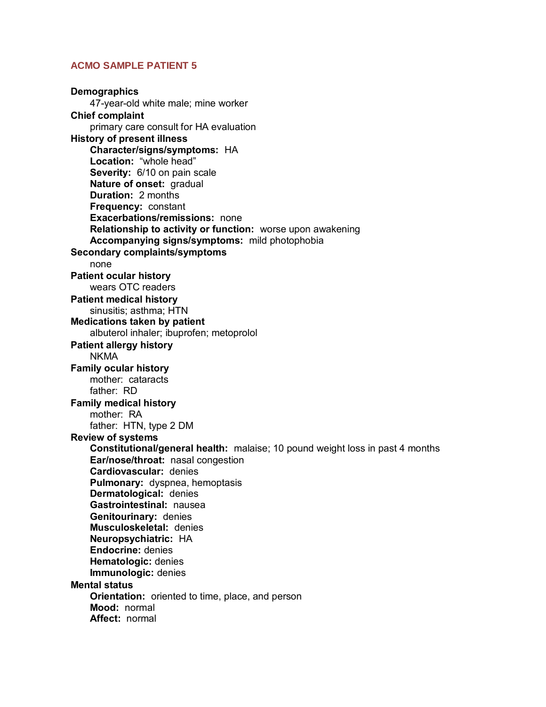**Demographics**  47-year-old white male; mine worker **Chief complaint**  primary care consult for HA evaluation **History of present illness Character/signs/symptoms:** HA **Location:** "whole head" **Severity:** 6/10 on pain scale **Nature of onset: gradual Duration:** 2 months  **Frequency:** constant **Exacerbations/remissions:** none **Relationship to activity or function:** worse upon awakening **Accompanying signs/symptoms:** mild photophobia **Secondary complaints/symptoms**  none **Patient ocular history**  wears OTC readers **Patient medical history**  sinusitis; asthma; HTN **Medications taken by patient**  albuterol inhaler; ibuprofen; metoprolol **Patient allergy history**  NKMA **Family ocular history**  mother: cataracts father: RD **Family medical history**  mother: RA father: HTN, type 2 DM **Review of systems Constitutional/general health:** malaise; 10 pound weight loss in past 4 months **Ear/nose/throat:** nasal congestion **Cardiovascular:** denies **Pulmonary:** dyspnea, hemoptasis **Dermatological:** denies **Gastrointestinal:** nausea **Genitourinary:** denies **Musculoskeletal:** denies **Neuropsychiatric:** HA **Endocrine:** denies **Hematologic:** denies **Immunologic:** denies **Mental status Orientation:** oriented to time, place, and person **Mood:** normal  **Affect:** normal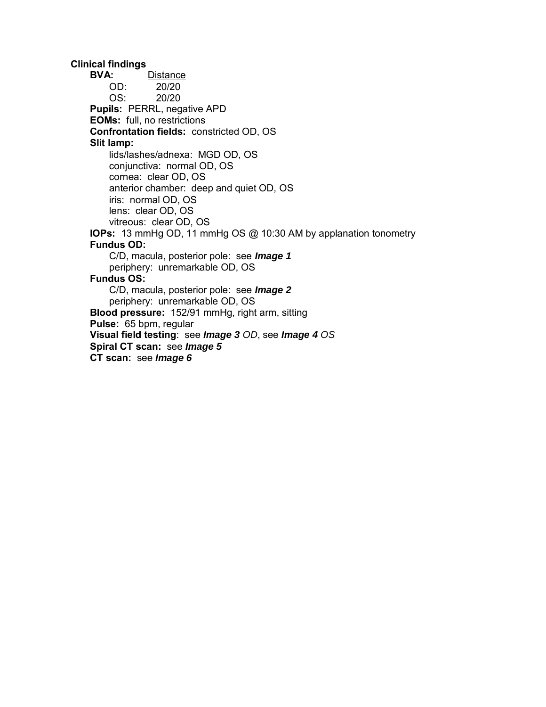**Clinical findings BVA:** Distance OD: 20/20 OS: 20/20 **Pupils:** PERRL, negative APD **EOMs:** full, no restrictions **Confrontation fields:** constricted OD, OS **Slit lamp:**  lids/lashes/adnexa: MGD OD, OS conjunctiva: normal OD, OS cornea: clear OD, OS anterior chamber: deep and quiet OD, OS iris: normal OD, OS lens: clear OD, OS vitreous: clear OD, OS  **IOPs:** 13 mmHg OD, 11 mmHg OS @ 10:30 AM by applanation tonometry **Fundus OD:**  C/D, macula, posterior pole: see *Image 1*  periphery: unremarkable OD, OS **Fundus OS:**  C/D, macula, posterior pole: see *Image 2*  periphery: unremarkable OD, OS **Blood pressure:** 152/91 mmHg, right arm, sitting **Pulse:** 65 bpm, regular **Visual field testing**: see *Image 3 OD*, see *Image 4 OS* **Spiral CT scan:** see *Image 5*  **CT scan:** see *Image 6*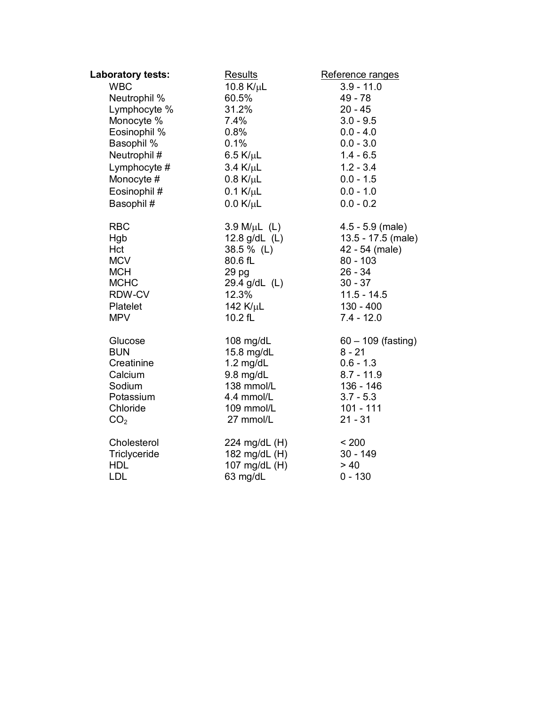| Laboratory tests: | <b>Results</b>     | Reference ranges     |
|-------------------|--------------------|----------------------|
| <b>WBC</b>        | 10.8 $K/\mu$ L     | $3.9 - 11.0$         |
| Neutrophil %      | 60.5%              | 49 - 78              |
| Lymphocyte %      | 31.2%              | $20 - 45$            |
| Monocyte %        | 7.4%               | $3.0 - 9.5$          |
| Eosinophil %      | 0.8%               | $0.0 - 4.0$          |
| Basophil %        | 0.1%               | $0.0 - 3.0$          |
| Neutrophil#       | $6.5$ K/ $\mu$ L   | $1.4 - 6.5$          |
| Lymphocyte #      | $3.4$ K/ $\mu$ L   | $1.2 - 3.4$          |
| Monocyte #        | $0.8$ K/ $\mu$ L   | $0.0 - 1.5$          |
| Eosinophil #      | $0.1$ K/ $\mu$ L   | $0.0 - 1.0$          |
| Basophil#         | $0.0$ K/ $\mu$ L   | $0.0 - 0.2$          |
| <b>RBC</b>        | $3.9 M/ \mu L$ (L) | $4.5 - 5.9$ (male)   |
| Hgb               | 12.8 $g/dL$ (L)    | 13.5 - 17.5 (male)   |
| Hct               | 38.5 % (L)         | 42 - 54 (male)       |
| <b>MCV</b>        | 80.6 fL            | $80 - 103$           |
| <b>MCH</b>        | 29 pg              | $26 - 34$            |
| <b>MCHC</b>       | 29.4 g/dL (L)      | $30 - 37$            |
| RDW-CV            | 12.3%              | $11.5 - 14.5$        |
| Platelet          | 142 $K/\mu$ L      | $130 - 400$          |
| <b>MPV</b>        | 10.2 fL            | $7.4 - 12.0$         |
| Glucose           | 108 mg/dL          | $60 - 109$ (fasting) |
| <b>BUN</b>        | 15.8 mg/dL         | $8 - 21$             |
| Creatinine        | $1.2$ mg/dL        | $0.6 - 1.3$          |
| Calcium           | $9.8$ mg/dL        | $8.7 - 11.9$         |
| Sodium            | 138 mmol/L         | 136 - 146            |
| Potassium         | 4.4 mmol/L         | $3.7 - 5.3$          |
| Chloride          | 109 mmol/L         | $101 - 111$          |
| CO <sub>2</sub>   | 27 mmol/L          | $21 - 31$            |
| Cholesterol       | 224 mg/dL (H)      | < 200                |
| Triclyceride      | 182 mg/dL (H)      | $30 - 149$           |
| <b>HDL</b>        | 107 mg/dL (H)      | > 40                 |
| <b>LDL</b>        | 63 mg/dL           | $0 - 130$            |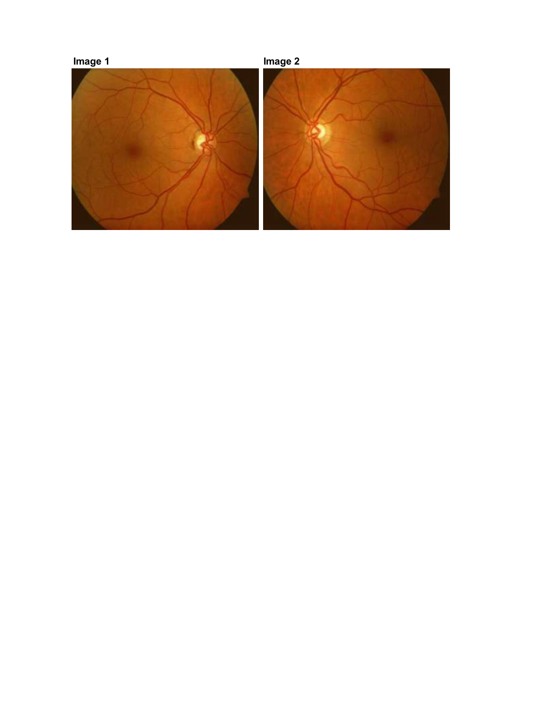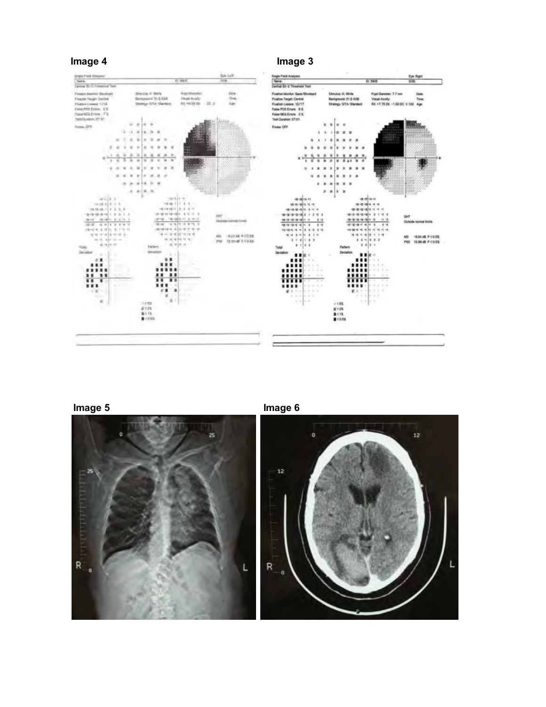







**Image 5** Image 6